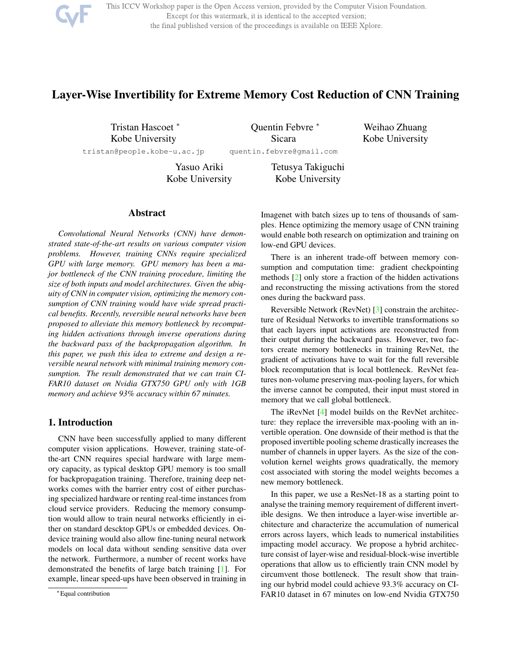

This ICCV Workshop paper is the Open Access version, provided by the Computer Vision Foundation. Except for this watermark, it is identical to the accepted version; the final published version of the proceedings is available on IEEE Xplore.

# Layer-Wise Invertibility for Extreme Memory Cost Reduction of CNN Training

Tristan Hascoet <sup>∗</sup> Kobe University tristan@people.kobe-u.ac.jp

Quentin Febvre <sup>∗</sup> Sicara quentin.febvre@gmail.com

Weihao Zhuang Kobe University

Yasuo Ariki Kobe University Tetusya Takiguchi Kobe University

## Abstract

*Convolutional Neural Networks (CNN) have demonstrated state-of-the-art results on various computer vision problems. However, training CNNs require specialized GPU with large memory. GPU memory has been a major bottleneck of the CNN training procedure, limiting the size of both inputs and model architectures. Given the ubiquity of CNN in computer vision, optimizing the memory consumption of CNN training would have wide spread practical benefits. Recently, reversible neural networks have been proposed to alleviate this memory bottleneck by recomputing hidden activations through inverse operations during the backward pass of the backpropagation algorithm. In this paper, we push this idea to extreme and design a reversible neural network with minimal training memory consumption. The result demonstrated that we can train CI-FAR10 dataset on Nvidia GTX750 GPU only with 1GB memory and achieve 93% accuracy within 67 minutes.*

## 1. Introduction

CNN have been successfully applied to many different computer vision applications. However, training state-ofthe-art CNN requires special hardware with large memory capacity, as typical desktop GPU memory is too small for backpropagation training. Therefore, training deep networks comes with the barrier entry cost of either purchasing specialized hardware or renting real-time instances from cloud service providers. Reducing the memory consumption would allow to train neural networks efficiently in either on standard descktop GPUs or embedded devices. Ondevice training would also allow fine-tuning neural network models on local data without sending sensitive data over the network. Furthermore, a number of recent works have demonstrated the benefits of large batch training [1]. For example, linear speed-ups have been observed in training in Imagenet with batch sizes up to tens of thousands of samples. Hence optimizing the memory usage of CNN training would enable both research on optimization and training on low-end GPU devices.

There is an inherent trade-off between memory consumption and computation time: gradient checkpointing methods [2] only store a fraction of the hidden activations and reconstructing the missing activations from the stored ones during the backward pass.

Reversible Network (RevNet) [3] constrain the architecture of Residual Networks to invertible transformations so that each layers input activations are reconstructed from their output during the backward pass. However, two factors create memory bottlenecks in training RevNet, the gradient of activations have to wait for the full reversible block recomputation that is local bottleneck. RevNet features non-volume preserving max-pooling layers, for which the inverse cannot be computed, their input must stored in memory that we call global bottleneck.

The iRevNet [4] model builds on the RevNet architecture: they replace the irreversible max-pooling with an invertible operation. One downside of their method is that the proposed invertible pooling scheme drastically increases the number of channels in upper layers. As the size of the convolution kernel weights grows quadratically, the memory cost associated with storing the model weights becomes a new memory bottleneck.

In this paper, we use a ResNet-18 as a starting point to analyse the training memory requirement of different invertible designs. We then introduce a layer-wise invertible architecture and characterize the accumulation of numerical errors across layers, which leads to numerical instabilities impacting model accuracy. We propose a hybrid architecture consist of layer-wise and residual-block-wise invertible operations that allow us to efficiently train CNN model by circumvent those bottleneck. The result show that training our hybrid model could achieve 93.3% accuracy on CI-FAR10 dataset in 67 minutes on low-end Nvidia GTX750

<sup>∗</sup>Equal contribution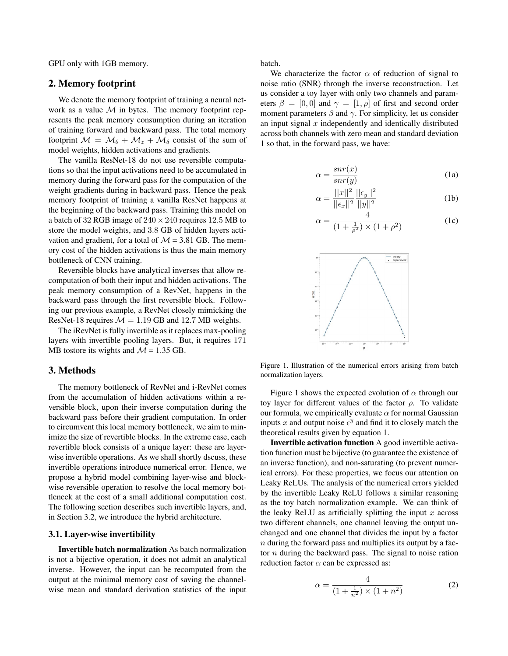GPU only with 1GB memory.

## 2. Memory footprint

We denote the memory footprint of training a neural network as a value  $M$  in bytes. The memory footprint represents the peak memory consumption during an iteration of training forward and backward pass. The total memory footprint  $\mathcal{M} = \mathcal{M}_{\theta} + \mathcal{M}_{z} + \mathcal{M}_{\delta}$  consist of the sum of model weights, hidden activations and gradients.

The vanilla ResNet-18 do not use reversible computations so that the input activations need to be accumulated in memory during the forward pass for the computation of the weight gradients during in backward pass. Hence the peak memory footprint of training a vanilla ResNet happens at the beginning of the backward pass. Training this model on a batch of 32 RGB image of  $240 \times 240$  requires 12.5 MB to store the model weights, and 3.8 GB of hidden layers activation and gradient, for a total of  $\mathcal{M} = 3.81$  GB. The memory cost of the hidden activations is thus the main memory bottleneck of CNN training.

Reversible blocks have analytical inverses that allow recomputation of both their input and hidden activations. The peak memory consumption of a RevNet, happens in the backward pass through the first reversible block. Following our previous example, a RevNet closely mimicking the ResNet-18 requires  $\mathcal{M} = 1.19$  GB and 12.7 MB weights.

The iRevNet is fully invertible as it replaces max-pooling layers with invertible pooling layers. But, it requires 171 MB tostore its wights and  $\mathcal{M} = 1.35$  GB.

## 3. Methods

The memory bottleneck of RevNet and i-RevNet comes from the accumulation of hidden activations within a reversible block, upon their inverse computation during the backward pass before their gradient computation. In order to circumvent this local memory bottleneck, we aim to minimize the size of revertible blocks. In the extreme case, each revertible block consists of a unique layer: these are layerwise invertible operations. As we shall shortly dscuss, these invertible operations introduce numerical error. Hence, we propose a hybrid model combining layer-wise and blockwise reversible operation to resolve the local memory bottleneck at the cost of a small additional computation cost. The following section describes such invertible layers, and, in Section 3.2, we introduce the hybrid architecture.

#### 3.1. Layer-wise invertibility

Invertible batch normalization As batch normalization is not a bijective operation, it does not admit an analytical inverse. However, the input can be recomputed from the output at the minimal memory cost of saving the channelwise mean and standard derivation statistics of the input batch.

We characterize the factor  $\alpha$  of reduction of signal to noise ratio (SNR) through the inverse reconstruction. Let us consider a toy layer with only two channels and parameters  $\beta = [0, 0]$  and  $\gamma = [1, \rho]$  of first and second order moment parameters  $\beta$  and  $\gamma$ . For simplicity, let us consider an input signal  $x$  independently and identically distributed across both channels with zero mean and standard deviation 1 so that, in the forward pass, we have:

$$
\alpha = \frac{snr(x)}{snr(y)}\tag{1a}
$$

$$
\alpha = \frac{||x||^2}{||\epsilon_x||^2} \frac{||\epsilon_y||^2}{||y||^2}
$$
 (1b)

$$
\alpha = \frac{4}{\left(1 + \frac{1}{\rho^2}\right) \times \left(1 + \rho^2\right)}\tag{1c}
$$



Figure 1. Illustration of the numerical errors arising from batch normalization layers.

Figure 1 shows the expected evolution of  $\alpha$  through our toy layer for different values of the factor  $\rho$ . To validate our formula, we empirically evaluate  $\alpha$  for normal Gaussian inputs x and output noise  $\epsilon^y$  and find it to closely match the theoretical results given by equation 1.

Invertible activation function A good invertible activation function must be bijective (to guarantee the existence of an inverse function), and non-saturating (to prevent numerical errors). For these properties, we focus our attention on Leaky ReLUs. The analysis of the numerical errors yielded by the invertible Leaky ReLU follows a similar reasoning as the toy batch normalization example. We can think of the leaky ReLU as artificially splitting the input  $x$  across two different channels, one channel leaving the output unchanged and one channel that divides the input by a factor  $n$  during the forward pass and multiplies its output by a factor  $n$  during the backward pass. The signal to noise ration reduction factor  $\alpha$  can be expressed as:

$$
\alpha = \frac{4}{(1 + \frac{1}{n^2}) \times (1 + n^2)}
$$
 (2)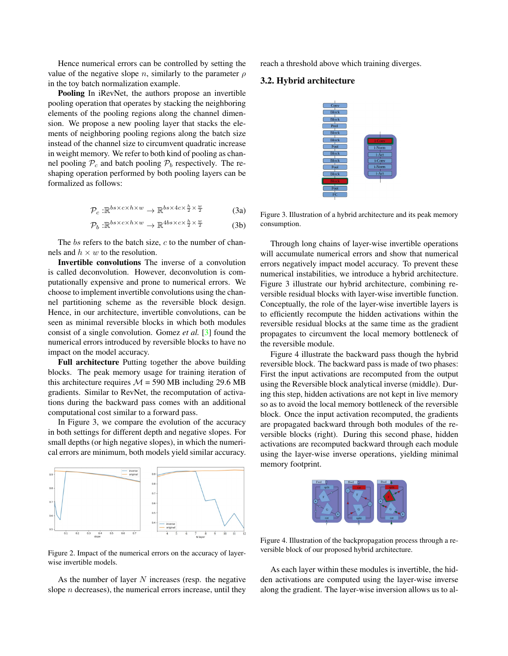Hence numerical errors can be controlled by setting the value of the negative slope n, similarly to the parameter  $\rho$ in the toy batch normalization example.

Pooling In iRevNet, the authors propose an invertible pooling operation that operates by stacking the neighboring elements of the pooling regions along the channel dimension. We propose a new pooling layer that stacks the elements of neighboring pooling regions along the batch size instead of the channel size to circumvent quadratic increase in weight memory. We refer to both kind of pooling as channel pooling  $P_c$  and batch pooling  $P_b$  respectively. The reshaping operation performed by both pooling layers can be formalized as follows:

$$
\mathcal{P}_c: \mathbb{R}^{bs \times c \times h \times w} \to \mathbb{R}^{bs \times 4c \times \frac{h}{2} \times \frac{w}{2}}
$$
 (3a)

$$
\mathcal{P}_b: \mathbb{R}^{bs \times c \times h \times w} \to \mathbb{R}^{4bs \times c \times \frac{h}{2} \times \frac{w}{2}}
$$
 (3b)

The  $bs$  refers to the batch size,  $c$  to the number of channels and  $h \times w$  to the resolution.

Invertible convolutions The inverse of a convolution is called deconvolution. However, deconvolution is computationally expensive and prone to numerical errors. We choose to implement invertible convolutions using the channel partitioning scheme as the reversible block design. Hence, in our architecture, invertible convolutions, can be seen as minimal reversible blocks in which both modules consist of a single convolution. Gomez *et al.* [3] found the numerical errors introduced by reversible blocks to have no impact on the model accuracy.

Full architecture Putting together the above building blocks. The peak memory usage for training iteration of this architecture requires  $M = 590$  MB including 29.6 MB gradients. Similar to RevNet, the recomputation of activations during the backward pass comes with an additional computational cost similar to a forward pass.

In Figure 3, we compare the evolution of the accuracy in both settings for different depth and negative slopes. For small depths (or high negative slopes), in which the numerical errors are minimum, both models yield similar accuracy.



Figure 2. Impact of the numerical errors on the accuracy of layerwise invertible models.

As the number of layer  $N$  increases (resp. the negative slope  $n$  decreases), the numerical errors increase, until they reach a threshold above which training diverges.

#### 3.2. Hybrid architecture



Figure 3. Illustration of a hybrid architecture and its peak memory consumption.

Through long chains of layer-wise invertible operations will accumulate numerical errors and show that numerical errors negatively impact model accuracy. To prevent these numerical instabilities, we introduce a hybrid architecture. Figure 3 illustrate our hybrid architecture, combining reversible residual blocks with layer-wise invertible function. Conceptually, the role of the layer-wise invertible layers is to efficiently recompute the hidden activations within the reversible residual blocks at the same time as the gradient propagates to circumvent the local memory bottleneck of the reversible module.

Figure 4 illustrate the backward pass though the hybrid reversible block. The backward pass is made of two phases: First the input activations are recomputed from the output using the Reversible block analytical inverse (middle). During this step, hidden activations are not kept in live memory so as to avoid the local memory bottleneck of the reversible block. Once the input activation recomputed, the gradients are propagated backward through both modules of the reversible blocks (right). During this second phase, hidden activations are recomputed backward through each module using the layer-wise inverse operations, yielding minimal memory footprint.



Figure 4. Illustration of the backpropagation process through a reversible block of our proposed hybrid architecture.

As each layer within these modules is invertible, the hidden activations are computed using the layer-wise inverse along the gradient. The layer-wise inversion allows us to al-